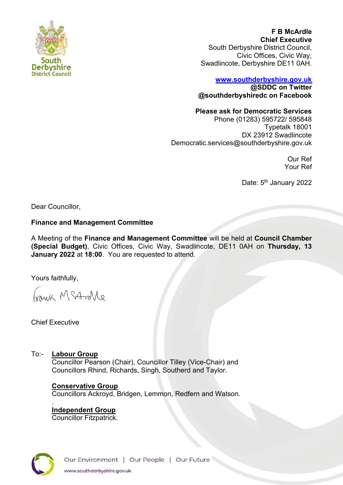

**F B McArdle Chief Executive** South Derbyshire District Council, Civic Offices, Civic Way, Swadlincote, Derbyshire DE11 0AH.

# **[www.southderbyshire.gov.uk](http://www.southderbyshire.gov.uk/) @SDDC on Twitter**

**@southderbyshiredc on Facebook**

# **Please ask for Democratic Services**

Phone (01283) 595722/ 595848 Typetalk 18001 DX 23912 Swadlincote Democratic.services@southderbyshire.gov.uk

> Our Ref Your Ref

Date: 5<sup>th</sup> January 2022

Dear Councillor,

# **Finance and Management Committee**

A Meeting of the **Finance and Management Committee** will be held at **Council Chamber (Special Budget)**, Civic Offices, Civic Way, Swadlincote, DE11 0AH on **Thursday, 13 January 2022** at **18:00**. You are requested to attend.

Yours faithfully,

Frank McAndle

Chief Executive

.

# To:- **Labour Group**

Councillor Pearson (Chair), Councillor Tilley (Vice-Chair) and Councillors Rhind, Richards, Singh, Southerd and Taylor.

# **Conservative Group**

Councillors Ackroyd, Bridgen, Lemmon, Redfern and Watson.

**Independent Group**  Councillor Fitzpatrick.

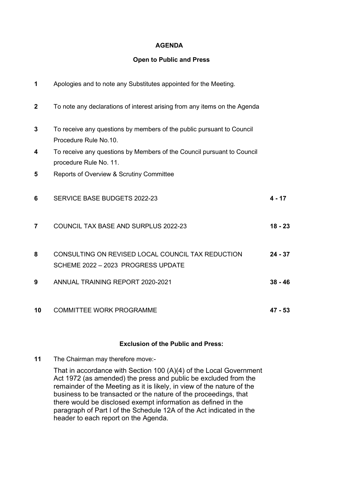# **AGENDA**

#### **Open to Public and Press**

| 1                       | Apologies and to note any Substitutes appointed for the Meeting.                                 |           |
|-------------------------|--------------------------------------------------------------------------------------------------|-----------|
| $\mathbf{2}$            | To note any declarations of interest arising from any items on the Agenda                        |           |
| $\mathbf{3}$            | To receive any questions by members of the public pursuant to Council<br>Procedure Rule No.10.   |           |
| 4                       | To receive any questions by Members of the Council pursuant to Council<br>procedure Rule No. 11. |           |
| 5                       | Reports of Overview & Scrutiny Committee                                                         |           |
| 6                       | SERVICE BASE BUDGETS 2022-23                                                                     | $4 - 17$  |
| $\overline{\mathbf{z}}$ | COUNCIL TAX BASE AND SURPLUS 2022-23                                                             | $18 - 23$ |
| 8                       | CONSULTING ON REVISED LOCAL COUNCIL TAX REDUCTION<br>SCHEME 2022 - 2023 PROGRESS UPDATE          | $24 - 37$ |
| 9                       | <b>ANNUAL TRAINING REPORT 2020-2021</b>                                                          | $38 - 46$ |
| 10                      | <b>COMMITTEE WORK PROGRAMME</b>                                                                  | $47 - 53$ |

# **Exclusion of the Public and Press:**

**11** The Chairman may therefore move:-

That in accordance with Section 100 (A)(4) of the Local Government Act 1972 (as amended) the press and public be excluded from the remainder of the Meeting as it is likely, in view of the nature of the business to be transacted or the nature of the proceedings, that there would be disclosed exempt information as defined in the paragraph of Part I of the Schedule 12A of the Act indicated in the header to each report on the Agenda.